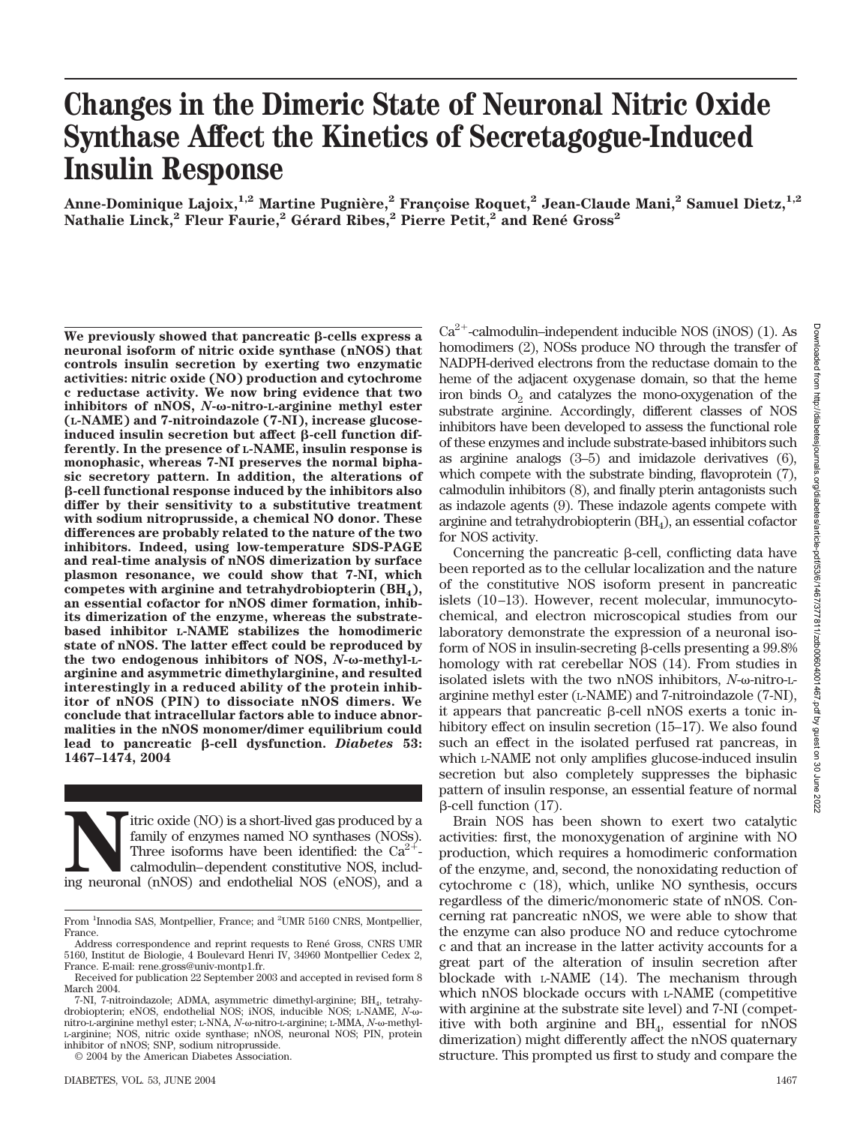# **Changes in the Dimeric State of Neuronal Nitric Oxide Synthase Affect the Kinetics of Secretagogue-Induced Insulin Response**

**Anne-Dominique Lajoix,1,2 Martine Pugnie`re,2 Franc¸oise Roquet,2 Jean-Claude Mani,2 Samuel Dietz,1,2**  $N$ athalie Linck, $^2$  Fleur Faurie, $^2$  Gérard Ribes, $^2$  Pierre Petit, $^2$  and René Gross $^2$ 

for NOS activity.

We previously showed that pancreatic  $\beta$ **-cells express a neuronal isoform of nitric oxide synthase (nNOS) that controls insulin secretion by exerting two enzymatic activities: nitric oxide (NO) production and cytochrome c reductase activity. We now bring evidence that two** inhibitors of nNOS, *N*-ω-nitro-L-arginine methyl ester **(L-NAME) and 7-nitroindazole (7-NI), increase glucose**induced insulin secretion but affect  $\beta$ -cell function dif**ferently. In the presence of L-NAME, insulin response is monophasic, whereas 7-NI preserves the normal biphasic secretory pattern. In addition, the alterations of -cell functional response induced by the inhibitors also differ by their sensitivity to a substitutive treatment with sodium nitroprusside, a chemical NO donor. These differences are probably related to the nature of the two inhibitors. Indeed, using low-temperature SDS-PAGE and real-time analysis of nNOS dimerization by surface plasmon resonance, we could show that 7-NI, which competes with arginine and tetrahydrobiopterin (BH4), an essential cofactor for nNOS dimer formation, inhibits dimerization of the enzyme, whereas the substratebased inhibitor L-NAME stabilizes the homodimeric state of nNOS. The latter effect could be reproduced by** the two endogenous inhibitors of NOS, *N*-ω-methyl-L**arginine and asymmetric dimethylarginine, and resulted interestingly in a reduced ability of the protein inhibitor of nNOS (PIN) to dissociate nNOS dimers. We conclude that intracellular factors able to induce abnormalities in the nNOS monomer/dimer equilibrium could** lead to pancreatic β-cell dysfunction. *Diabetes* 53: **1467–1474, 2004**

itric oxide (NO) is a short-lived gas produced by a family of enzymes named NO synthases (NOSs). Three isoforms have been identified: the Ca<sup>2+</sup>-calmodulin–dependent constitutive NOS, including neuronal (nNOS) and endothel family of enzymes named NO synthases (NOSs). Three isoforms have been identified: the  $Ca^{2+}$ calmodulin–dependent constitutive NOS, includ-

© 2004 by the American Diabetes Association.

 $Ca^{2+}$ -calmodulin–independent inducible NOS (iNOS) (1). As homodimers (2), NOSs produce NO through the transfer of NADPH-derived electrons from the reductase domain to the heme of the adjacent oxygenase domain, so that the heme iron binds  $O_2$  and catalyzes the mono-oxygenation of the substrate arginine. Accordingly, different classes of NOS inhibitors have been developed to assess the functional role of these enzymes and include substrate-based inhibitors such as arginine analogs (3–5) and imidazole derivatives (6), which compete with the substrate binding, flavoprotein  $(7)$ , calmodulin inhibitors (8), and finally pterin antagonists such as indazole agents (9). These indazole agents compete with arginine and tetrahydrobiopterin  $(BH_4)$ , an essential cofactor Concerning the pancreatic  $\beta$ -cell, conflicting data have

been reported as to the cellular localization and the nature of the constitutive NOS isoform present in pancreatic islets (10–13). However, recent molecular, immunocytochemical, and electron microscopical studies from our laboratory demonstrate the expression of a neuronal isoform of NOS in insulin-secreting  $\beta$ -cells presenting a  $99.8\%$ homology with rat cerebellar NOS (14). From studies in isolated islets with the two nNOS inhibitors, *N*-ω-nitro-Larginine methyl ester (L-NAME) and 7-nitroindazole (7-NI), it appears that pancreatic  $\beta$ -cell nNOS exerts a tonic inhibitory effect on insulin secretion  $(15-17)$ . We also found such an effect in the isolated perfused rat pancreas, in which L-NAME not only amplifies glucose-induced insulin secretion but also completely suppresses the biphasic pattern of insulin response, an essential feature of normal  $\beta$ -cell function (17).

Brain NOS has been shown to exert two catalytic activities: first, the monoxygenation of arginine with NO production, which requires a homodimeric conformation of the enzyme, and, second, the nonoxidating reduction of cytochrome c (18), which, unlike NO synthesis, occurs regardless of the dimeric/monomeric state of nNOS. Concerning rat pancreatic nNOS, we were able to show that the enzyme can also produce NO and reduce cytochrome c and that an increase in the latter activity accounts for a great part of the alteration of insulin secretion after blockade with L-NAME (14). The mechanism through which nNOS blockade occurs with L-NAME (competitive with arginine at the substrate site level) and 7-NI (competitive with both arginine and  $BH<sub>4</sub>$ , essential for nNOS dimerization) might differently affect the nNOS quaternary structure. This prompted us first to study and compare the

From <sup>1</sup>Innodia SAS, Montpellier, France; and <sup>2</sup>UMR 5160 CNRS, Montpellier, France.

Address correspondence and reprint requests to René Gross, CNRS UMR 5160, Institut de Biologie, 4 Boulevard Henri IV, 34960 Montpellier Cedex 2, France. E-mail: rene.gross@univ-montp1.fr.

Received for publication 22 September 2003 and accepted in revised form 8 March 2004.

<sup>7-</sup>NI, 7-nitroindazole; ADMA, asymmetric dimethyl-arginine; BH4, tetrahydrobiopterin; eNOS, endothelial NOS; iNOS, inducible NOS; L-NAME, N- $\omega$ nitro-L-arginine methyl ester; L-NNA, *N*-ω-nitro-L-arginine; L-MMA, *N*-ω-methyl-L-arginine; NOS, nitric oxide synthase; nNOS, neuronal NOS; PIN, protein inhibitor of nNOS; SNP, sodium nitroprusside.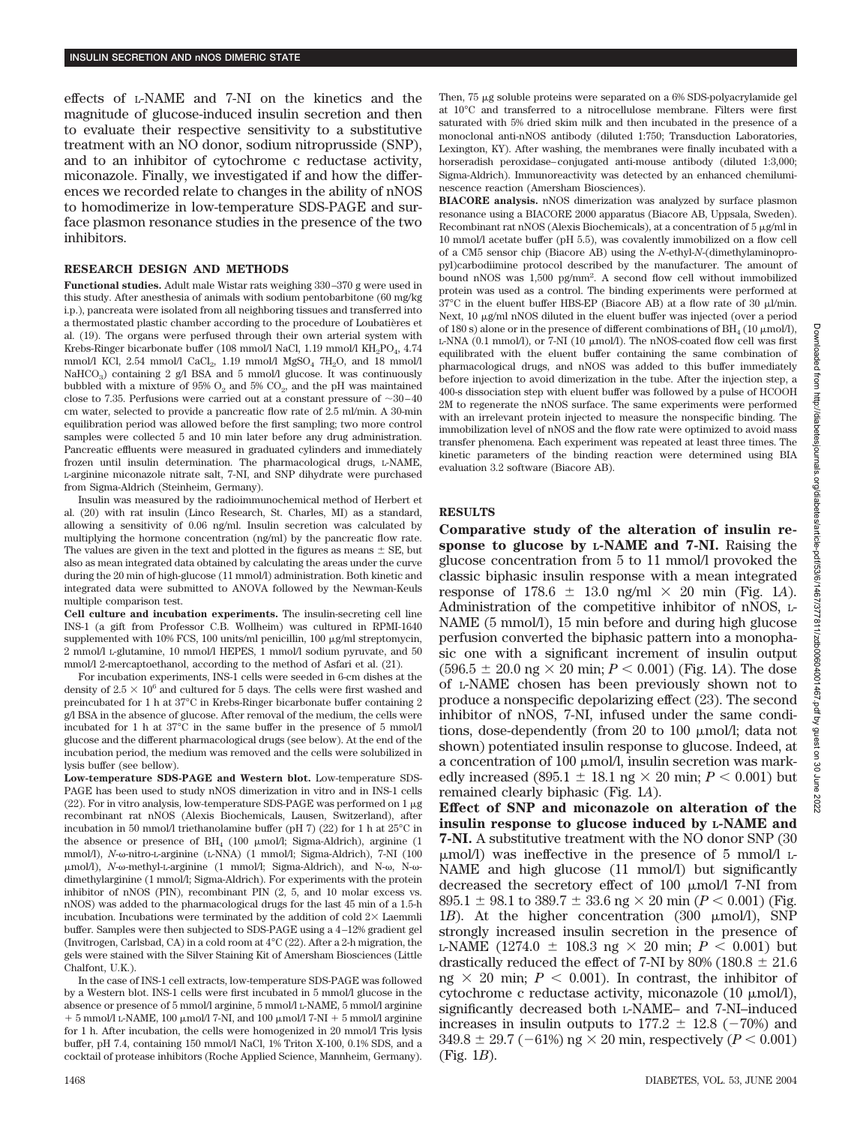effects of L-NAME and 7-NI on the kinetics and the magnitude of glucose-induced insulin secretion and then to evaluate their respective sensitivity to a substitutive treatment with an NO donor, sodium nitroprusside (SNP), and to an inhibitor of cytochrome c reductase activity, miconazole. Finally, we investigated if and how the differences we recorded relate to changes in the ability of nNOS to homodimerize in low-temperature SDS-PAGE and surface plasmon resonance studies in the presence of the two inhibitors.

### **RESEARCH DESIGN AND METHODS**

**Functional studies.** Adult male Wistar rats weighing 330–370 g were used in this study. After anesthesia of animals with sodium pentobarbitone (60 mg/kg i.p.), pancreata were isolated from all neighboring tissues and transferred into a thermostated plastic chamber according to the procedure of Loubatières et al. (19). The organs were perfused through their own arterial system with Krebs-Ringer bicarbonate buffer (108 mmol/l NaCl, 1.19 mmol/l  $KH_{2}PO_{4}$ , 4.74 mmol/l KCl, 2.54 mmol/l CaCl<sub>2</sub>, 1.19 mmol/l MgSO<sub>4</sub> 7H<sub>2</sub>O, and 18 mmol/l NaHCO<sub>3</sub>) containing 2 g/l BSA and 5 mmol/l glucose. It was continuously bubbled with a mixture of 95%  $O_2$  and 5%  $CO_2$ , and the pH was maintained close to 7.35. Perfusions were carried out at a constant pressure of  $\sim 30-40$ cm water, selected to provide a pancreatic flow rate of 2.5 ml/min. A 30-min equilibration period was allowed before the first sampling; two more control samples were collected 5 and 10 min later before any drug administration. Pancreatic effluents were measured in graduated cylinders and immediately frozen until insulin determination. The pharmacological drugs, L-NAME, L-arginine miconazole nitrate salt, 7-NI, and SNP dihydrate were purchased from Sigma-Aldrich (Steinheim, Germany).

Insulin was measured by the radioimmunochemical method of Herbert et al. (20) with rat insulin (Linco Research, St. Charles, MI) as a standard, allowing a sensitivity of 0.06 ng/ml. Insulin secretion was calculated by multiplying the hormone concentration (ng/ml) by the pancreatic flow rate. The values are given in the text and plotted in the figures as means  $\pm$  SE, but also as mean integrated data obtained by calculating the areas under the curve during the 20 min of high-glucose (11 mmol/l) administration. Both kinetic and integrated data were submitted to ANOVA followed by the Newman-Keuls multiple comparison test.

**Cell culture and incubation experiments.** The insulin-secreting cell line INS-1 (a gift from Professor C.B. Wollheim) was cultured in RPMI-1640 supplemented with 10% FCS, 100 units/ml penicillin, 100  $\mu$ g/ml streptomycin, 2 mmol/l L-glutamine, 10 mmol/l HEPES, 1 mmol/l sodium pyruvate, and 50 mmol/l 2-mercaptoethanol, according to the method of Asfari et al. (21).

For incubation experiments, INS-1 cells were seeded in 6-cm dishes at the density of  $2.5 \times 10^6$  and cultured for 5 days. The cells were first washed and preincubated for 1 h at 37°C in Krebs-Ringer bicarbonate buffer containing 2 g/l BSA in the absence of glucose. After removal of the medium, the cells were incubated for 1 h at 37°C in the same buffer in the presence of 5 mmol/l glucose and the different pharmacological drugs (see below). At the end of the incubation period, the medium was removed and the cells were solubilized in lysis buffer (see bellow).

**Low-temperature SDS-PAGE and Western blot.** Low-temperature SDS-PAGE has been used to study nNOS dimerization in vitro and in INS-1 cells (22). For in vitro analysis, low-temperature SDS-PAGE was performed on  $1 \mu$ g recombinant rat nNOS (Alexis Biochemicals, Lausen, Switzerland), after incubation in 50 mmol/l triethanolamine buffer (pH 7) (22) for 1 h at 25°C in the absence or presence of  $BH<sub>4</sub>$  (100  $\mu$ mol/l; Sigma-Aldrich), arginine (1 mmol/l), *N*- $\omega$ -nitro-L-arginine (L-NNA) (1 mmol/l; Sigma-Aldrich), 7-NI (100 μmol/l), *N*-ω-methyl-L-arginine (1 mmol/l; Sigma-Aldrich), and N-ω, N-ωdimethylarginine (1 mmol/l; Sigma-Aldrich). For experiments with the protein inhibitor of nNOS (PIN), recombinant PIN (2, 5, and 10 molar excess vs. nNOS) was added to the pharmacological drugs for the last 45 min of a 1.5-h incubation. Incubations were terminated by the addition of cold  $2\times$  Laemmli buffer. Samples were then subjected to SDS-PAGE using a 4–12% gradient gel (Invitrogen, Carlsbad, CA) in a cold room at 4°C (22). After a 2-h migration, the gels were stained with the Silver Staining Kit of Amersham Biosciences (Little Chalfont, U.K.).

In the case of INS-1 cell extracts, low-temperature SDS-PAGE was followed by a Western blot. INS-1 cells were first incubated in 5 mmol/l glucose in the absence or presence of 5 mmol/l arginine, 5 mmol/l L-NAME, 5 mmol/l arginine  $+ 5$  mmol/l L-NAME, 100  $\mu$ mol/l 7-NI, and 100  $\mu$ mol/l 7-NI  $+ 5$  mmol/l arginine for 1 h. After incubation, the cells were homogenized in 20 mmol/l Tris lysis buffer, pH 7.4, containing 150 mmol/l NaCl, 1% Triton X-100, 0.1% SDS, and a cocktail of protease inhibitors (Roche Applied Science, Mannheim, Germany). Then,  $75 \mu$ g soluble proteins were separated on a  $6\%$  SDS-polyacrylamide gel at 10°C and transferred to a nitrocellulose membrane. Filters were first saturated with 5% dried skim milk and then incubated in the presence of a monoclonal anti-nNOS antibody (diluted 1:750; Transduction Laboratories, Lexington, KY). After washing, the membranes were finally incubated with a horseradish peroxidase–conjugated anti-mouse antibody (diluted 1:3,000; Sigma-Aldrich). Immunoreactivity was detected by an enhanced chemiluminescence reaction (Amersham Biosciences).

**BIACORE analysis.** nNOS dimerization was analyzed by surface plasmon resonance using a BIACORE 2000 apparatus (Biacore AB, Uppsala, Sweden). Recombinant rat nNOS (Alexis Biochemicals), at a concentration of 5  $\upmu\mathbf{g}/\mathbf{m}$  in 10 mmol/l acetate buffer (pH 5.5), was covalently immobilized on a flow cell of a CM5 sensor chip (Biacore AB) using the *N*-ethyl-*N*-(dimethylaminopropyl)carbodiimine protocol described by the manufacturer. The amount of bound nNOS was 1,500 pg/mm2 . A second flow cell without immobilized protein was used as a control. The binding experiments were performed at  $37^{\circ}$ C in the eluent buffer HBS-EP (Biacore AB) at a flow rate of 30 µl/min. Next, 10  $\mu$ g/ml nNOS diluted in the eluent buffer was injected (over a period of 180 s) alone or in the presence of different combinations of BH<sub>4</sub> (10  $\mu$ mol/l), L-NNA (0.1 mmol/l), or 7-NI (10  $\mu$ mol/l). The nNOS-coated flow cell was first equilibrated with the eluent buffer containing the same combination of pharmacological drugs, and nNOS was added to this buffer immediately before injection to avoid dimerization in the tube. After the injection step, a 400-s dissociation step with eluent buffer was followed by a pulse of HCOOH 2M to regenerate the nNOS surface. The same experiments were performed with an irrelevant protein injected to measure the nonspecific binding. The immobilization level of nNOS and the flow rate were optimized to avoid mass transfer phenomena. Each experiment was repeated at least three times. The kinetic parameters of the binding reaction were determined using BIA evaluation 3.2 software (Biacore AB).

## **RESULTS**

**Comparative study of the alteration of insulin response to glucose by L-NAME and 7-NI.** Raising the glucose concentration from 5 to 11 mmol/l provoked the classic biphasic insulin response with a mean integrated response of  $178.6 \pm 13.0$  ng/ml  $\times$  20 min (Fig. 1*A*). Administration of the competitive inhibitor of nNOS, L-NAME (5 mmol/l), 15 min before and during high glucose perfusion converted the biphasic pattern into a monophasic one with a significant increment of insulin output  $(596.5 \pm 20.0 \text{ ng} \times 20 \text{ min}; P < 0.001)$  (Fig. 1*A*). The dose of L-NAME chosen has been previously shown not to produce a nonspecific depolarizing effect (23). The second inhibitor of nNOS, 7-NI, infused under the same conditions, dose-dependently (from 20 to 100  $\mu$ mol/l; data not shown) potentiated insulin response to glucose. Indeed, at a concentration of 100  $\mu$ mol/l, insulin secretion was markedly increased (895.1  $\pm$  18.1 ng  $\times$  20 min; *P* < 0.001) but remained clearly biphasic (Fig. 1*A*).

**Effect of SNP and miconazole on alteration of the insulin response to glucose induced by L-NAME and 7-NI.** A substitutive treatment with the NO donor SNP (30  $\mu$ mol/l) was ineffective in the presence of 5 mmol/l L-NAME and high glucose (11 mmol/l) but significantly decreased the secretory effect of 100  $\mu$ mol/l 7-NI from 895.1  $\pm$  98.1 to 389.7  $\pm$  33.6 ng  $\times$  20 min (*P* < 0.001) (Fig. 1*B*). At the higher concentration  $(300 \mu \text{mol/l})$ , SNP strongly increased insulin secretion in the presence of L-NAME (1274.0  $\pm$  108.3 ng  $\times$  20 min; *P*  $\lt$  0.001) but drastically reduced the effect of 7-NI by 80% (180.8  $\pm$  21.6 ng  $\times$  20 min;  $P < 0.001$ ). In contrast, the inhibitor of cytochrome c reductase activity, miconazole  $(10 \mu \text{mol/l})$ , significantly decreased both L-NAME– and 7-NI–induced increases in insulin outputs to  $177.2 \pm 12.8$  ( $-70\%$ ) and  $349.8 \pm 29.7$  ( $-61\%$ ) ng  $\times$  20 min, respectively ( $P < 0.001$ ) (Fig. 1*B*).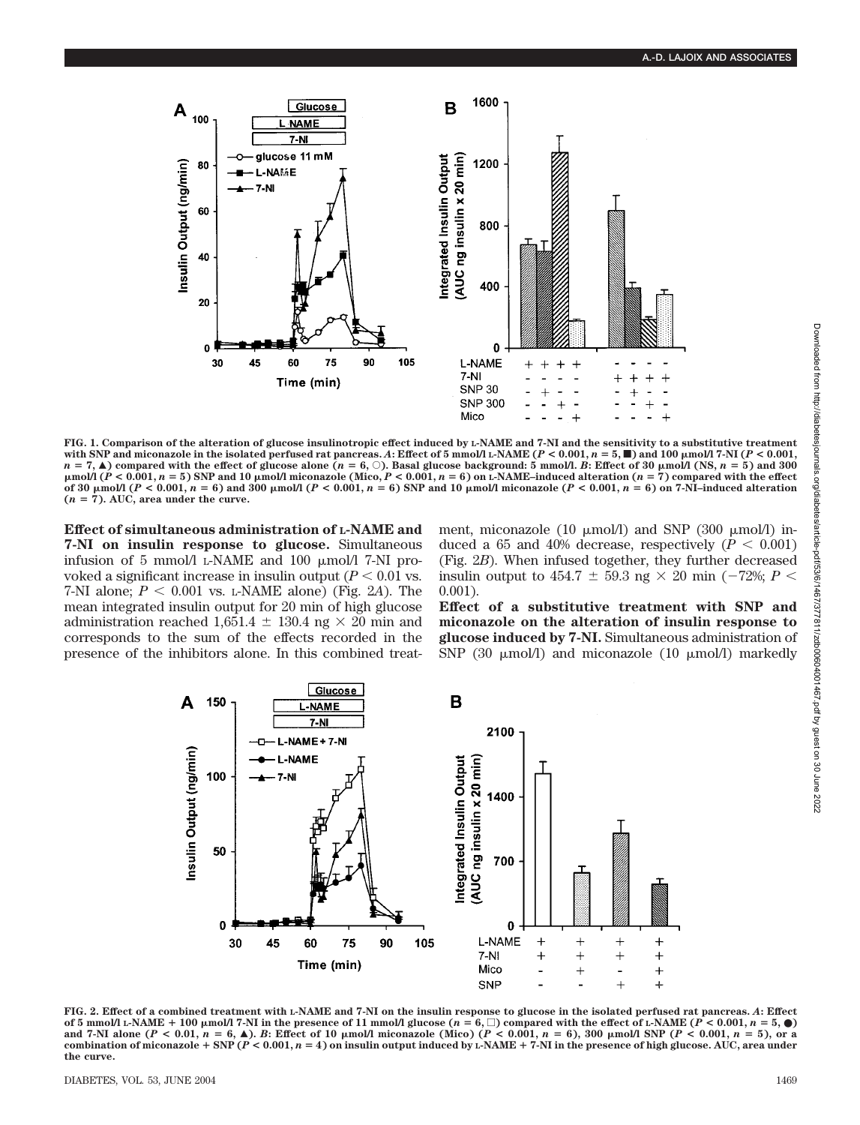

**FIG. 1. Comparison of the alteration of glucose insulinotropic effect induced by L-NAME and 7-NI and the sensitivity to a substitutive treatment** with SNP and miconazole in the isolated perfused rat pancreas. A: Effect of 5 mmol/l L-NAME ( $P < 0.001$ ,  $n = 5$ ,  $\blacksquare$ ) and 100  $\mu$ mol/l 7-NI ( $P < 0.001$ ,  $n = 7$ ,  $\blacktriangle$ ) compared with the effect of glucose alone ( $n = 6$ ,  $\circ$ ). Basal glucose background: 5 mmol/l. *B*: Effect of 30  $\mu$ mol/l (NS,  $n = 5$ ) and 300  $\mu$ mol/l ( $P < 0.001$ ,  $n = 5$ ) SNP and 10  $\mu$ mol/l miconazole (Mico,  $P < 0.001$ ,  $n = 6$ ) on L-NAME-induced alteration ( $n = 7$ ) compared with the effect of 30  $\mu$ mol/l (P < 0.001, n = 6) and 300  $\mu$ mol/l (P < 0.001, n = 6) SNP and 10  $\mu$ mol/l miconazole (P < 0.001, n = 6) on 7-NI-induced alteration  $(n = 7)$ . AUC, area under the curve.

**Effect of simultaneous administration of L-NAME and 7-NI on insulin response to glucose.** Simultaneous infusion of 5 mmol/l L-NAME and 100  $\mu$ mol/l 7-NI provoked a significant increase in insulin output  $(P < 0.01$  vs. 7-NI alone;  $P < 0.001$  vs. L-NAME alone) (Fig. 2A). The mean integrated insulin output for 20 min of high glucose administration reached 1,651.4  $\pm$  130.4 ng  $\times$  20 min and corresponds to the sum of the effects recorded in the presence of the inhibitors alone. In this combined treatment, miconazole (10  $\mu$ mol/l) and SNP (300  $\mu$ mol/l) induced a 65 and 40% decrease, respectively  $(P < 0.001)$ (Fig. 2*B*). When infused together, they further decreased insulin output to 454.7  $\pm$  59.3 ng  $\times$  20 min ( $-72\%$ ; *P*  $\lt$ 0.001).

**Effect of a substitutive treatment with SNP and miconazole on the alteration of insulin response to glucose induced by 7-NI.** Simultaneous administration of SNP (30  $\mu$ mol/l) and miconazole (10  $\mu$ mol/l) markedly



**FIG. 2. Effect of a combined treatment with L-NAME and 7-NI on the insulin response to glucose in the isolated perfused rat pancreas.** *A***: Effect** of 5 mmol/l L-NAME + 100 µmol/l 7-NI in the presence of 11 mmol/l glucose  $(n = 6, \square)$  compared with the effect of L-NAME  $(P < 0.001, n = 5, \bullet)$ and 7-NI alone ( $P < 0.01$ ,  $n = 6$ ,  $\blacktriangle$ ). B: Effect of 10  $\mu$ mol/l miconazole (Mico) ( $P < 0.001$ ,  $n = 6$ ), 300  $\mu$ mol/l SNP ( $P < 0.001$ ,  $n = 5$ ), or a combination of miconazole  $+$  SNP ( $P$  < 0.001,  $n = 4$ ) on insulin output induced by L-NAME  $+$  7-NI in the presence of high glucose. AUC, area under **the curve.**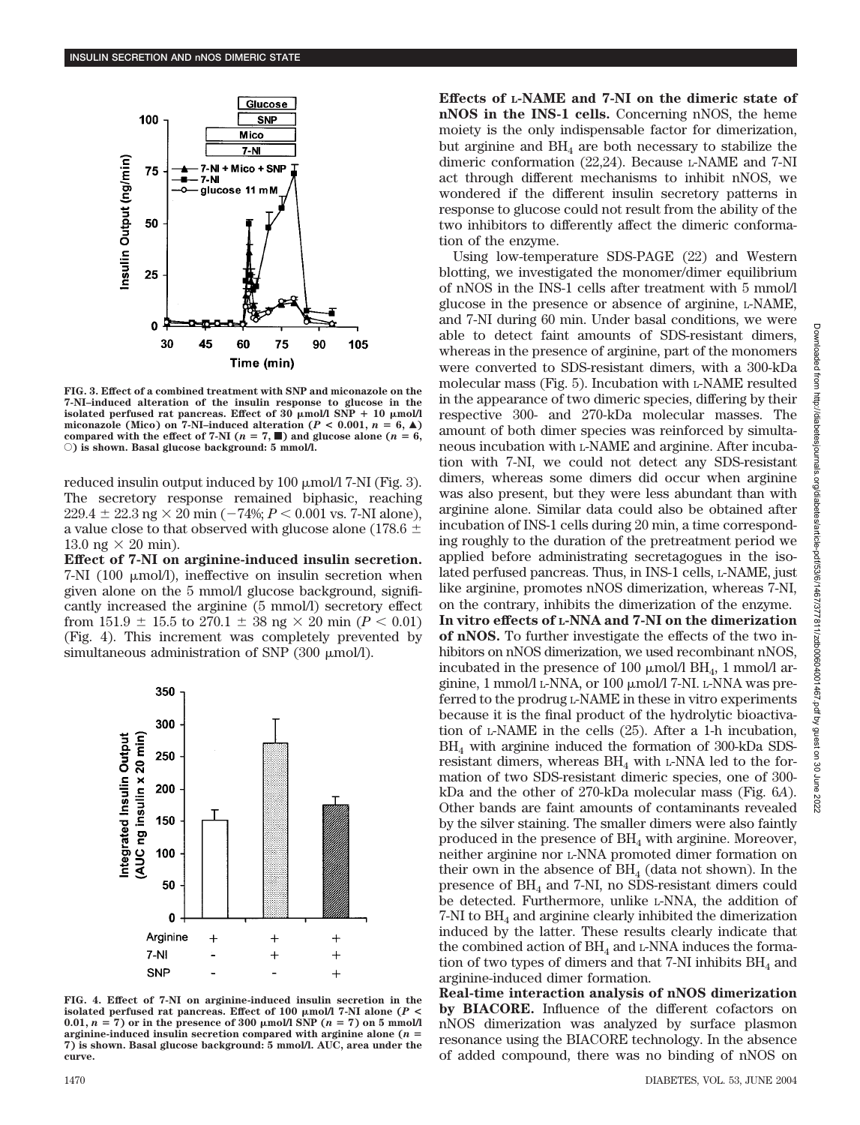

**FIG. 3. Effect of a combined treatment with SNP and miconazole on the 7-NI–induced alteration of the insulin response to glucose in the** isolated perfused rat pancreas. Effect of  $30 \mu \text{mol/l}$  SNP  $+ 10 \mu \text{mol/l}$ miconazole (Mico) on 7-NI-induced alteration ( $P < 0.001$ ,  $n = 6$ ,  $\triangle$ ) **compared with the effect of 7-NI (** $n = 7$ **,**  $\blacksquare$ **) and glucose alone (** $n = 6$ **,** E**) is shown. Basal glucose background: 5 mmol/l.**

reduced insulin output induced by 100  $\mu$ mol/l 7-NI (Fig. 3). The secretory response remained biphasic, reaching  $229.4 \pm 22.3$  ng  $\times$  20 min ( $-74\%$ ;  $P < 0.001$  vs. 7-NI alone), a value close to that observed with glucose alone (178.6  $\pm$ 13.0 ng  $\times$  20 min).

**Effect of 7-NI on arginine-induced insulin secretion.**  $7-NI$  (100  $\mu$ mol/l), ineffective on insulin secretion when given alone on the 5 mmol/l glucose background, significantly increased the arginine (5 mmol/l) secretory effect from  $151.9 \pm 15.5$  to  $270.1 \pm 38$  ng  $\times 20$  min ( $P < 0.01$ ) (Fig. 4). This increment was completely prevented by simultaneous administration of SNP  $(300 \mu \text{mol/l})$ .



**FIG. 4. Effect of 7-NI on arginine-induced insulin secretion in the isolated perfused rat pancreas. Effect of 100 mol/l 7-NI alone (***P* **<** 0.01,  $n = 7$ ) or in the presence of 300  $\mu$ mol/l SNP ( $n = 7$ ) on 5 mmol/l **arginine-induced insulin secretion compared with arginine alone (***n* **7) is shown. Basal glucose background: 5 mmol/l. AUC, area under the curve.**

**Effects of L-NAME and 7-NI on the dimeric state of nNOS in the INS-1 cells.** Concerning nNOS, the heme moiety is the only indispensable factor for dimerization, but arginine and  $BH<sub>4</sub>$  are both necessary to stabilize the dimeric conformation (22,24). Because L-NAME and 7-NI act through different mechanisms to inhibit nNOS, we wondered if the different insulin secretory patterns in response to glucose could not result from the ability of the two inhibitors to differently affect the dimeric conformation of the enzyme.

Using low-temperature SDS-PAGE (22) and Western blotting, we investigated the monomer/dimer equilibrium of nNOS in the INS-1 cells after treatment with 5 mmol/l glucose in the presence or absence of arginine, L-NAME, and 7-NI during 60 min. Under basal conditions, we were able to detect faint amounts of SDS-resistant dimers, whereas in the presence of arginine, part of the monomers were converted to SDS-resistant dimers, with a 300-kDa molecular mass (Fig. 5). Incubation with L-NAME resulted in the appearance of two dimeric species, differing by their respective 300- and 270-kDa molecular masses. The amount of both dimer species was reinforced by simultaneous incubation with L-NAME and arginine. After incubation with 7-NI, we could not detect any SDS-resistant dimers, whereas some dimers did occur when arginine was also present, but they were less abundant than with arginine alone. Similar data could also be obtained after incubation of INS-1 cells during 20 min, a time corresponding roughly to the duration of the pretreatment period we applied before administrating secretagogues in the isolated perfused pancreas. Thus, in INS-1 cells, L-NAME, just like arginine, promotes nNOS dimerization, whereas 7-NI, on the contrary, inhibits the dimerization of the enzyme. **In vitro effects of L-NNA and 7-NI on the dimerization of nNOS.** To further investigate the effects of the two inhibitors on nNOS dimerization, we used recombinant nNOS, incubated in the presence of 100  $\mu$ mol/l BH<sub>4</sub>, 1 mmol/l arginine, 1 mmol/l L-NNA, or 100  $\mu$ mol/l 7-NI. L-NNA was preferred to the prodrug L-NAME in these in vitro experiments because it is the final product of the hydrolytic bioactivation of L-NAME in the cells (25). After a 1-h incubation, BH4 with arginine induced the formation of 300-kDa SDSresistant dimers, whereas  $BH<sub>4</sub>$  with L-NNA led to the formation of two SDS-resistant dimeric species, one of 300 kDa and the other of 270-kDa molecular mass (Fig. 6*A*). Other bands are faint amounts of contaminants revealed by the silver staining. The smaller dimers were also faintly produced in the presence of  $BH<sub>4</sub>$  with arginine. Moreover, neither arginine nor L-NNA promoted dimer formation on their own in the absence of  $BH<sub>4</sub>$  (data not shown). In the presence of BH<sub>4</sub> and 7-NI, no SDS-resistant dimers could be detected. Furthermore, unlike L-NNA, the addition of  $7$ -NI to  $BH<sub>4</sub>$  and arginine clearly inhibited the dimerization induced by the latter. These results clearly indicate that the combined action of  $BH<sub>4</sub>$  and L-NNA induces the formation of two types of dimers and that  $7-NI$  inhibits  $BH<sub>4</sub>$  and arginine-induced dimer formation.

**Real-time interaction analysis of nNOS dimerization by BIACORE.** Influence of the different cofactors on nNOS dimerization was analyzed by surface plasmon resonance using the BIACORE technology. In the absence of added compound, there was no binding of nNOS on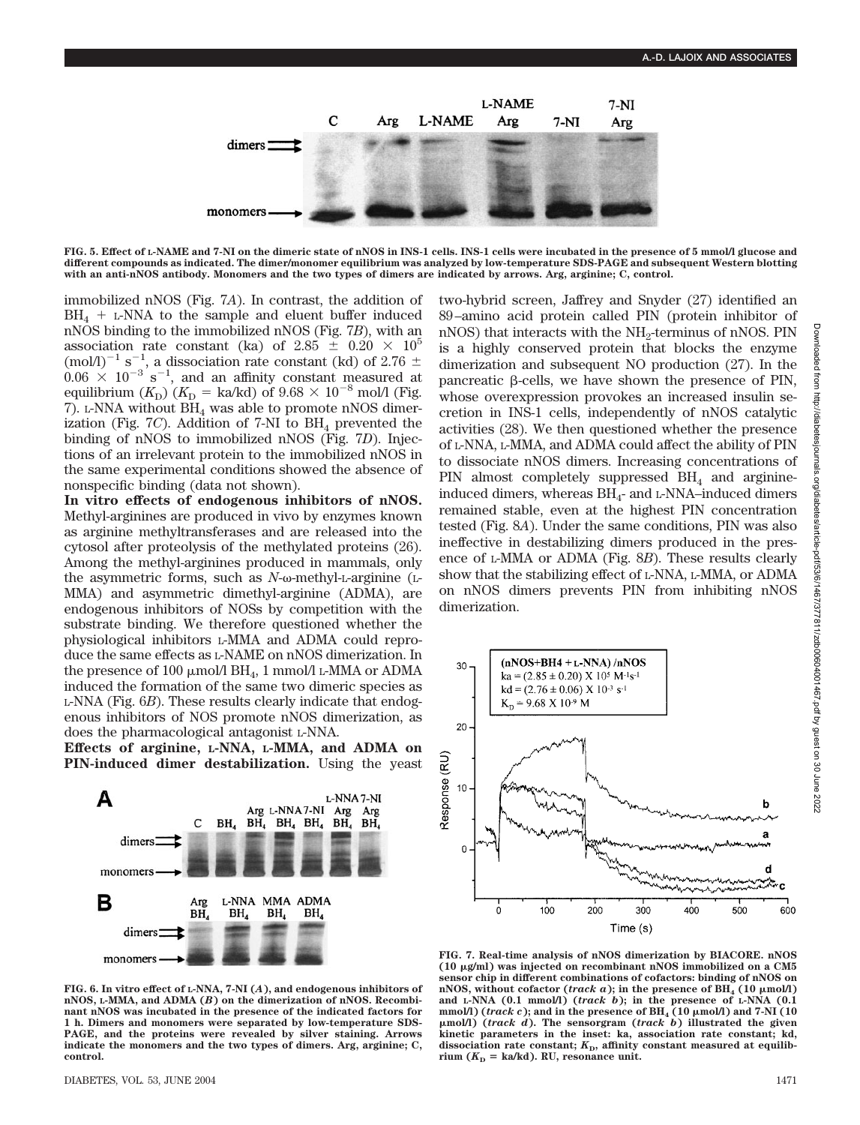

**FIG. 5. Effect of L-NAME and 7-NI on the dimeric state of nNOS in INS-1 cells. INS-1 cells were incubated in the presence of 5 mmol/l glucose and different compounds as indicated. The dimer/monomer equilibrium was analyzed by low-temperature SDS-PAGE and subsequent Western blotting with an anti-nNOS antibody. Monomers and the two types of dimers are indicated by arrows. Arg, arginine; C, control.**

immobilized nNOS (Fig. 7*A*). In contrast, the addition of  $BH<sub>4</sub> + L-NNA$  to the sample and eluent buffer induced nNOS binding to the immobilized nNOS (Fig. 7*B*), with an association rate constant (ka) of 2.85  $\pm$  0.20  $\times$  10<sup>5</sup> (mol/l)<sup>-1</sup> s<sup>-1</sup>, a dissociation rate constant (kd) of 2.76  $\pm$  $0.06 \times 10^{-3}$  s<sup>-1</sup>, and an affinity constant measured at equilibrium  $(K_{\text{D}})$   $(K_{\text{D}} = \text{ka/kd})$  of  $9.68 \times 10^{-8}$  mol/l (Fig. 7). L-NNA without  $\overrightarrow{BH}_4$  was able to promote nNOS dimerization (Fig.  $7C$ ). Addition of  $7-NI$  to  $BH<sub>4</sub>$  prevented the binding of nNOS to immobilized nNOS (Fig. 7*D*). Injections of an irrelevant protein to the immobilized nNOS in the same experimental conditions showed the absence of nonspecific binding (data not shown).

**In vitro effects of endogenous inhibitors of nNOS.** Methyl-arginines are produced in vivo by enzymes known as arginine methyltransferases and are released into the cytosol after proteolysis of the methylated proteins (26). Among the methyl-arginines produced in mammals, only the asymmetric forms, such as  $N$ - $\omega$ -methyl-L-arginine (L-MMA) and asymmetric dimethyl-arginine (ADMA), are endogenous inhibitors of NOSs by competition with the substrate binding. We therefore questioned whether the physiological inhibitors L-MMA and ADMA could reproduce the same effects as L-NAME on nNOS dimerization. In the presence of 100  $\mu$ mol/l BH<sub>4</sub>, 1 mmol/l L-MMA or ADMA induced the formation of the same two dimeric species as L-NNA (Fig. 6*B*). These results clearly indicate that endogenous inhibitors of NOS promote nNOS dimerization, as does the pharmacological antagonist L-NNA.

**Effects of arginine, L-NNA, L-MMA, and ADMA on PIN-induced dimer destabilization.** Using the yeast



**FIG. 6. In vitro effect of L-NNA, 7-NI (***A***), and endogenous inhibitors of nNOS, L-MMA, and ADMA (***B***) on the dimerization of nNOS. Recombinant nNOS was incubated in the presence of the indicated factors for 1 h. Dimers and monomers were separated by low-temperature SDS-PAGE, and the proteins were revealed by silver staining. Arrows indicate the monomers and the two types of dimers. Arg, arginine; C, control.**

two-hybrid screen, Jaffrey and Snyder (27) identified an 89–amino acid protein called PIN (protein inhibitor of nNOS) that interacts with the  $NH_2$ -terminus of nNOS. PIN is a highly conserved protein that blocks the enzyme dimerization and subsequent NO production (27). In the pancreatic  $\beta$ -cells, we have shown the presence of PIN, whose overexpression provokes an increased insulin secretion in INS-1 cells, independently of nNOS catalytic activities (28). We then questioned whether the presence of L-NNA, L-MMA, and ADMA could affect the ability of PIN to dissociate nNOS dimers. Increasing concentrations of PIN almost completely suppressed  $BH<sub>4</sub>$  and arginineinduced dimers, whereas  $BH<sub>4</sub>$ - and L-NNA–induced dimers remained stable, even at the highest PIN concentration tested (Fig. 8*A*). Under the same conditions, PIN was also ineffective in destabilizing dimers produced in the presence of L-MMA or ADMA (Fig. 8*B*). These results clearly show that the stabilizing effect of L-NNA, L-MMA, or ADMA on nNOS dimers prevents PIN from inhibiting nNOS dimerization.



**FIG. 7. Real-time analysis of nNOS dimerization by BIACORE. nNOS (10 g/ml) was injected on recombinant nNOS immobilized on a CM5 sensor chip in different combinations of cofactors: binding of nNOS on**  $nNOS$ , without cofactor (*track a*); in the presence of  $BH_4^2$  (10  $\mu$ mol/l) **and L-NNA (0.1 mmol/l) (***track b***); in the presence of L-NNA (0.1** mmol/l) (*track c*); and in the presence of  $BH_4$  (10  $\mu$ mol/l) and 7-NI (10 **mol/l) (***track d***). The sensorgram (***track b***) illustrated the given kinetic parameters in the inset: ka, association rate constant; kd,** dissociation rate constant;  $K<sub>D</sub>$ , affinity constant measured at equilibrium  $(K_D = \text{ka/kd})$ . RU, resonance unit.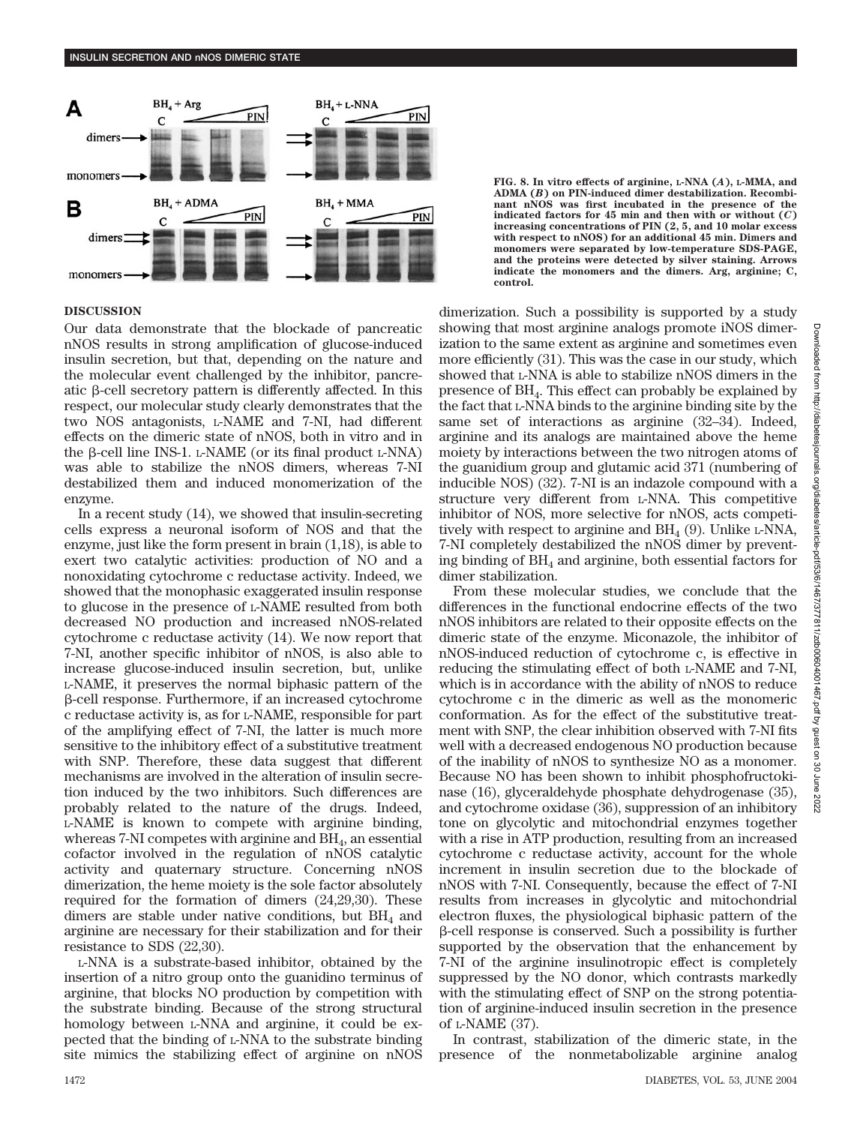

# **DISCUSSION**

Our data demonstrate that the blockade of pancreatic nNOS results in strong amplification of glucose-induced insulin secretion, but that, depending on the nature and the molecular event challenged by the inhibitor, pancreatic  $\beta$ -cell secretory pattern is differently affected. In this respect, our molecular study clearly demonstrates that the two NOS antagonists, L-NAME and 7-NI, had different effects on the dimeric state of nNOS, both in vitro and in the  $\beta$ -cell line INS-1. L-NAME (or its final product L-NNA) was able to stabilize the nNOS dimers, whereas 7-NI destabilized them and induced monomerization of the enzyme.

In a recent study (14), we showed that insulin-secreting cells express a neuronal isoform of NOS and that the enzyme, just like the form present in brain (1,18), is able to exert two catalytic activities: production of NO and a nonoxidating cytochrome c reductase activity. Indeed, we showed that the monophasic exaggerated insulin response to glucose in the presence of L-NAME resulted from both decreased NO production and increased nNOS-related cytochrome c reductase activity (14). We now report that 7-NI, another specific inhibitor of nNOS, is also able to increase glucose-induced insulin secretion, but, unlike L-NAME, it preserves the normal biphasic pattern of the --cell response. Furthermore, if an increased cytochrome c reductase activity is, as for L-NAME, responsible for part of the amplifying effect of 7-NI, the latter is much more sensitive to the inhibitory effect of a substitutive treatment with SNP. Therefore, these data suggest that different mechanisms are involved in the alteration of insulin secretion induced by the two inhibitors. Such differences are probably related to the nature of the drugs. Indeed, L-NAME is known to compete with arginine binding, whereas 7-NI competes with arginine and  $\text{BH}_4$ , an essential cofactor involved in the regulation of nNOS catalytic activity and quaternary structure. Concerning nNOS dimerization, the heme moiety is the sole factor absolutely required for the formation of dimers (24,29,30). These dimers are stable under native conditions, but  $BH<sub>4</sub>$  and arginine are necessary for their stabilization and for their resistance to SDS (22,30).

L-NNA is a substrate-based inhibitor, obtained by the insertion of a nitro group onto the guanidino terminus of arginine, that blocks NO production by competition with the substrate binding. Because of the strong structural homology between L-NNA and arginine, it could be expected that the binding of L-NNA to the substrate binding site mimics the stabilizing effect of arginine on nNOS **FIG. 8. In vitro effects of arginine, L-NNA (***A***), L-MMA, and ADMA (***B***) on PIN-induced dimer destabilization. Recombinant nNOS was first incubated in the presence of the indicated factors for 45 min and then with or without (***C***) increasing concentrations of PIN (2, 5, and 10 molar excess with respect to nNOS) for an additional 45 min. Dimers and monomers were separated by low-temperature SDS-PAGE, and the proteins were detected by silver staining. Arrows indicate the monomers and the dimers. Arg, arginine; C, control.**

dimerization. Such a possibility is supported by a study showing that most arginine analogs promote iNOS dimerization to the same extent as arginine and sometimes even more efficiently (31). This was the case in our study, which showed that L-NNA is able to stabilize nNOS dimers in the presence of BH4. This effect can probably be explained by the fact that L-NNA binds to the arginine binding site by the same set of interactions as arginine (32–34). Indeed, arginine and its analogs are maintained above the heme moiety by interactions between the two nitrogen atoms of the guanidium group and glutamic acid 371 (numbering of inducible NOS) (32). 7-NI is an indazole compound with a structure very different from L-NNA. This competitive inhibitor of NOS, more selective for nNOS, acts competitively with respect to arginine and  $BH<sub>4</sub>(9)$ . Unlike L-NNA, 7-NI completely destabilized the nNOS dimer by preventing binding of  $BH<sub>4</sub>$  and arginine, both essential factors for dimer stabilization.

From these molecular studies, we conclude that the differences in the functional endocrine effects of the two nNOS inhibitors are related to their opposite effects on the dimeric state of the enzyme. Miconazole, the inhibitor of nNOS-induced reduction of cytochrome c, is effective in reducing the stimulating effect of both L-NAME and 7-NI, which is in accordance with the ability of nNOS to reduce cytochrome c in the dimeric as well as the monomeric conformation. As for the effect of the substitutive treatment with SNP, the clear inhibition observed with 7-NI fits well with a decreased endogenous NO production because of the inability of nNOS to synthesize NO as a monomer. Because NO has been shown to inhibit phosphofructokinase (16), glyceraldehyde phosphate dehydrogenase (35), and cytochrome oxidase (36), suppression of an inhibitory tone on glycolytic and mitochondrial enzymes together with a rise in ATP production, resulting from an increased cytochrome c reductase activity, account for the whole increment in insulin secretion due to the blockade of nNOS with 7-NI. Consequently, because the effect of 7-NI results from increases in glycolytic and mitochondrial electron fluxes, the physiological biphasic pattern of the --cell response is conserved. Such a possibility is further supported by the observation that the enhancement by 7-NI of the arginine insulinotropic effect is completely suppressed by the NO donor, which contrasts markedly with the stimulating effect of SNP on the strong potentiation of arginine-induced insulin secretion in the presence of L-NAME (37).

In contrast, stabilization of the dimeric state, in the presence of the nonmetabolizable arginine analog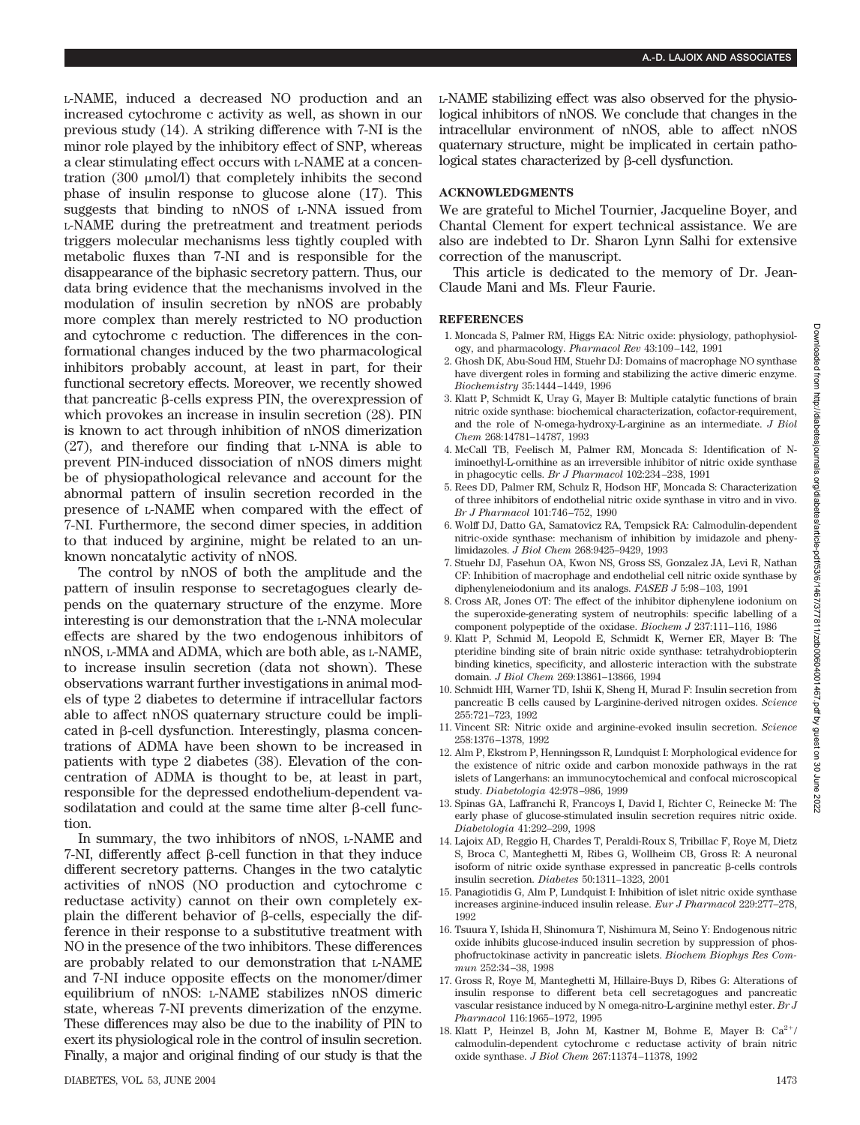L-NAME, induced a decreased NO production and an increased cytochrome c activity as well, as shown in our previous study (14). A striking difference with 7-NI is the minor role played by the inhibitory effect of SNP, whereas a clear stimulating effect occurs with L-NAME at a concentration  $(300 \mu \text{mol/l})$  that completely inhibits the second phase of insulin response to glucose alone (17). This suggests that binding to nNOS of L-NNA issued from L-NAME during the pretreatment and treatment periods triggers molecular mechanisms less tightly coupled with metabolic fluxes than 7-NI and is responsible for the disappearance of the biphasic secretory pattern. Thus, our data bring evidence that the mechanisms involved in the modulation of insulin secretion by nNOS are probably more complex than merely restricted to NO production and cytochrome c reduction. The differences in the conformational changes induced by the two pharmacological inhibitors probably account, at least in part, for their functional secretory effects. Moreover, we recently showed that pancreatic  $\beta$ -cells express PIN, the overexpression of which provokes an increase in insulin secretion (28). PIN is known to act through inhibition of nNOS dimerization (27), and therefore our finding that L-NNA is able to prevent PIN-induced dissociation of nNOS dimers might be of physiopathological relevance and account for the abnormal pattern of insulin secretion recorded in the presence of L-NAME when compared with the effect of 7-NI. Furthermore, the second dimer species, in addition to that induced by arginine, might be related to an unknown noncatalytic activity of nNOS.

The control by nNOS of both the amplitude and the pattern of insulin response to secretagogues clearly depends on the quaternary structure of the enzyme. More interesting is our demonstration that the L-NNA molecular effects are shared by the two endogenous inhibitors of nNOS, L-MMA and ADMA, which are both able, as L-NAME, to increase insulin secretion (data not shown). These observations warrant further investigations in animal models of type 2 diabetes to determine if intracellular factors able to affect nNOS quaternary structure could be implicated in  $\beta$ -cell dysfunction. Interestingly, plasma concentrations of ADMA have been shown to be increased in patients with type 2 diabetes (38). Elevation of the concentration of ADMA is thought to be, at least in part, responsible for the depressed endothelium-dependent vasodilatation and could at the same time alter  $\beta$ -cell function.

In summary, the two inhibitors of nNOS, L-NAME and  $7-NI$ , differently affect  $\beta$ -cell function in that they induce different secretory patterns. Changes in the two catalytic activities of nNOS (NO production and cytochrome c reductase activity) cannot on their own completely explain the different behavior of  $\beta$ -cells, especially the difference in their response to a substitutive treatment with NO in the presence of the two inhibitors. These differences are probably related to our demonstration that L-NAME and 7-NI induce opposite effects on the monomer/dimer equilibrium of nNOS: L-NAME stabilizes nNOS dimeric state, whereas 7-NI prevents dimerization of the enzyme. These differences may also be due to the inability of PIN to exert its physiological role in the control of insulin secretion. Finally, a major and original finding of our study is that the L-NAME stabilizing effect was also observed for the physiological inhibitors of nNOS. We conclude that changes in the intracellular environment of nNOS, able to affect nNOS quaternary structure, might be implicated in certain patho $logical states characterized by \beta-cell dysfunction.$ 

## **ACKNOWLEDGMENTS**

We are grateful to Michel Tournier, Jacqueline Boyer, and Chantal Clement for expert technical assistance. We are also are indebted to Dr. Sharon Lynn Salhi for extensive correction of the manuscript.

This article is dedicated to the memory of Dr. Jean-Claude Mani and Ms. Fleur Faurie.

### **REFERENCES**

- 1. Moncada S, Palmer RM, Higgs EA: Nitric oxide: physiology, pathophysiology, and pharmacology. *Pharmacol Rev* 43:109–142, 1991
- 2. Ghosh DK, Abu-Soud HM, Stuehr DJ: Domains of macrophage NO synthase have divergent roles in forming and stabilizing the active dimeric enzyme. *Biochemistry* 35:1444–1449, 1996
- 3. Klatt P, Schmidt K, Uray G, Mayer B: Multiple catalytic functions of brain nitric oxide synthase: biochemical characterization, cofactor-requirement, and the role of N-omega-hydroxy-L-arginine as an intermediate. *J Biol Chem* 268:14781–14787, 1993
- 4. McCall TB, Feelisch M, Palmer RM, Moncada S: Identification of Niminoethyl-L-ornithine as an irreversible inhibitor of nitric oxide synthase in phagocytic cells. *Br J Pharmacol* 102:234–238, 1991
- 5. Rees DD, Palmer RM, Schulz R, Hodson HF, Moncada S: Characterization of three inhibitors of endothelial nitric oxide synthase in vitro and in vivo. *Br J Pharmacol* 101:746–752, 1990
- 6. Wolff DJ, Datto GA, Samatovicz RA, Tempsick RA: Calmodulin-dependent nitric-oxide synthase: mechanism of inhibition by imidazole and phenylimidazoles. *J Biol Chem* 268:9425–9429, 1993
- 7. Stuehr DJ, Fasehun OA, Kwon NS, Gross SS, Gonzalez JA, Levi R, Nathan CF: Inhibition of macrophage and endothelial cell nitric oxide synthase by diphenyleneiodonium and its analogs. *FASEB J* 5:98–103, 1991
- 8. Cross AR, Jones OT: The effect of the inhibitor diphenylene iodonium on the superoxide-generating system of neutrophils: specific labelling of a component polypeptide of the oxidase. *Biochem J* 237:111–116, 1986
- 9. Klatt P, Schmid M, Leopold E, Schmidt K, Werner ER, Mayer B: The pteridine binding site of brain nitric oxide synthase: tetrahydrobiopterin binding kinetics, specificity, and allosteric interaction with the substrate domain. *J Biol Chem* 269:13861–13866, 1994
- 10. Schmidt HH, Warner TD, Ishii K, Sheng H, Murad F: Insulin secretion from pancreatic B cells caused by L-arginine-derived nitrogen oxides. *Science* 255:721–723, 1992
- 11. Vincent SR: Nitric oxide and arginine-evoked insulin secretion. *Science* 258:1376–1378, 1992
- 12. Alm P, Ekstrom P, Henningsson R, Lundquist I: Morphological evidence for the existence of nitric oxide and carbon monoxide pathways in the rat islets of Langerhans: an immunocytochemical and confocal microscopical study. *Diabetologia* 42:978–986, 1999
- 13. Spinas GA, Laffranchi R, Francoys I, David I, Richter C, Reinecke M: The early phase of glucose-stimulated insulin secretion requires nitric oxide. *Diabetologia* 41:292–299, 1998
- 14. Lajoix AD, Reggio H, Chardes T, Peraldi-Roux S, Tribillac F, Roye M, Dietz S, Broca C, Manteghetti M, Ribes G, Wollheim CB, Gross R: A neuronal isoform of nitric oxide synthase expressed in pancreatic  $\beta$ -cells controls insulin secretion. *Diabetes* 50:1311–1323, 2001
- 15. Panagiotidis G, Alm P, Lundquist I: Inhibition of islet nitric oxide synthase increases arginine-induced insulin release. *Eur J Pharmacol* 229:277–278, 1992
- 16. Tsuura Y, Ishida H, Shinomura T, Nishimura M, Seino Y: Endogenous nitric oxide inhibits glucose-induced insulin secretion by suppression of phosphofructokinase activity in pancreatic islets. *Biochem Biophys Res Commun* 252:34–38, 1998
- 17. Gross R, Roye M, Manteghetti M, Hillaire-Buys D, Ribes G: Alterations of insulin response to different beta cell secretagogues and pancreatic vascular resistance induced by N omega-nitro-L-arginine methyl ester. *Br J Pharmacol* 116:1965–1972, 1995
- 18. Klatt P, Heinzel B, John M, Kastner M, Bohme E, Mayer B:  $Ca^{2+}/$ calmodulin-dependent cytochrome c reductase activity of brain nitric oxide synthase. *J Biol Chem* 267:11374–11378, 1992